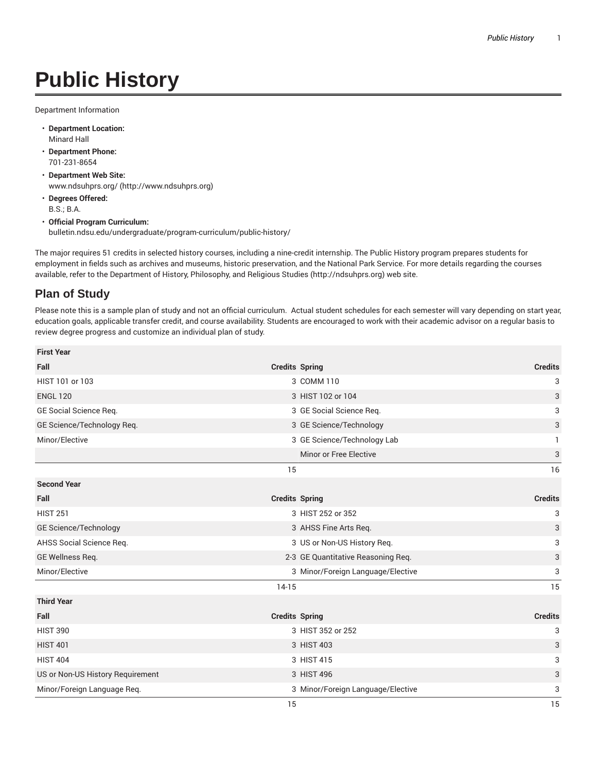## **Public History**

Department Information

- **Department Location:** Minard Hall
- **Department Phone:** 701-231-8654
- **Department Web Site:** www.ndsuhprs.org/ (http://www.ndsuhprs.org)
- **Degrees Offered:** B.S.; B.A.
- **Official Program Curriculum:** bulletin.ndsu.edu/undergraduate/program-curriculum/public-history/

The major requires 51 credits in selected history courses, including a nine-credit internship. The Public History program prepares students for employment in fields such as archives and museums, historic preservation, and the National Park Service. For more details regarding the courses available, refer to the Department of History, Philosophy, and Religious Studies (http://ndsuhprs.org) web site.

## **Plan of Study**

Please note this is a sample plan of study and not an official curriculum. Actual student schedules for each semester will vary depending on start year, education goals, applicable transfer credit, and course availability. Students are encouraged to work with their academic advisor on a regular basis to review degree progress and customize an individual plan of study.

| <b>First Year</b>                |                       |                                    |                |
|----------------------------------|-----------------------|------------------------------------|----------------|
| Fall                             | <b>Credits Spring</b> |                                    | <b>Credits</b> |
| HIST 101 or 103                  |                       | 3 COMM 110                         | 3              |
| <b>ENGL 120</b>                  |                       | 3 HIST 102 or 104                  | 3              |
| GE Social Science Req.           |                       | 3 GE Social Science Reg.           | 3              |
| GE Science/Technology Req.       |                       | 3 GE Science/Technology            | 3              |
| Minor/Elective                   |                       | 3 GE Science/Technology Lab        |                |
|                                  |                       | Minor or Free Elective             | 3              |
|                                  | 15                    |                                    | 16             |
| <b>Second Year</b>               |                       |                                    |                |
| Fall                             | <b>Credits Spring</b> |                                    | <b>Credits</b> |
| <b>HIST 251</b>                  |                       | 3 HIST 252 or 352                  | 3              |
| GE Science/Technology            |                       | 3 AHSS Fine Arts Req.              | 3              |
| AHSS Social Science Req.         |                       | 3 US or Non-US History Req.        | 3              |
| GE Wellness Req.                 |                       | 2-3 GE Quantitative Reasoning Req. | 3              |
| Minor/Elective                   |                       | 3 Minor/Foreign Language/Elective  | 3              |
|                                  | $14-15$               |                                    | 15             |
| <b>Third Year</b>                |                       |                                    |                |
| Fall                             | <b>Credits Spring</b> |                                    | <b>Credits</b> |
| <b>HIST 390</b>                  |                       | 3 HIST 352 or 252                  | 3              |
| <b>HIST 401</b>                  |                       | 3 HIST 403                         | 3              |
| <b>HIST 404</b>                  |                       | 3 HIST 415                         | 3              |
| US or Non-US History Requirement |                       | 3 HIST 496                         | 3              |
| Minor/Foreign Language Req.      |                       | 3 Minor/Foreign Language/Elective  | 3              |
|                                  | 15                    |                                    | 15             |